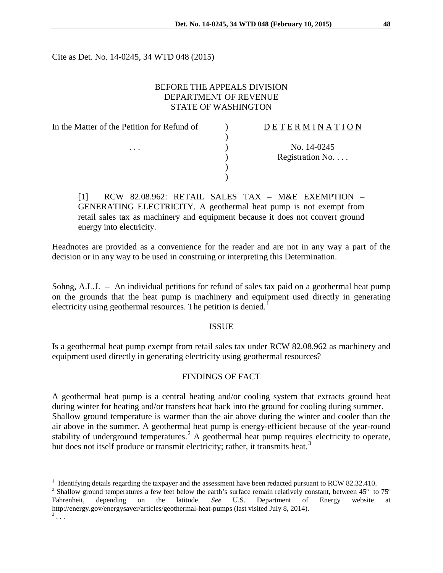Cite as Det. No. 14-0245, 34 WTD 048 (2015)

## BEFORE THE APPEALS DIVISION DEPARTMENT OF REVENUE STATE OF WASHINGTON

| In the Matter of the Petition for Refund of | <b>DETERMINATION</b> |
|---------------------------------------------|----------------------|
|                                             |                      |
| $\cdots$                                    | No. 14-0245          |
|                                             | Registration No.     |
|                                             |                      |
|                                             |                      |
|                                             |                      |

[1] RCW 82.08.962: RETAIL SALES TAX – M&E EXEMPTION – GENERATING ELECTRICITY. A geothermal heat pump is not exempt from retail sales tax as machinery and equipment because it does not convert ground energy into electricity.

Headnotes are provided as a convenience for the reader and are not in any way a part of the decision or in any way to be used in construing or interpreting this Determination.

Sohng, A.L.J. – An individual petitions for refund of sales tax paid on a geothermal heat pump on the grounds that the heat pump is machinery and equipment used directly in generating electricity using geothermal resources. The petition is denied.<sup>[1](#page-0-0)</sup>

### ISSUE

Is a geothermal heat pump exempt from retail sales tax under RCW 82.08.962 as machinery and equipment used directly in generating electricity using geothermal resources?

# FINDINGS OF FACT

A geothermal heat pump is a central heating and/or cooling system that extracts ground heat during winter for heating and/or transfers heat back into the ground for cooling during summer. Shallow ground temperature is warmer than the air above during the winter and cooler than the air above in the summer. A geothermal heat pump is energy-efficient because of the year-round stability of underground temperatures.<sup>[2](#page-0-1)</sup> A geothermal heat pump requires electricity to operate, but does not itself produce or transmit electricity; rather, it transmits heat.<sup>[3](#page-0-2)</sup>

 $\overline{a}$ 

<span id="page-0-0"></span><sup>&</sup>lt;sup>1</sup> Identifying details regarding the taxpayer and the assessment have been redacted pursuant to RCW 82.32.410.<br><sup>2</sup> Shallow ground temperatures a few feet below the earth's surface remain relatively constant, between 45<sup>°</sup>

<span id="page-0-1"></span>Fahrenheit, depending on the latitude. *See* U.S. Department of Energy website at http://energy.gov/energysaver/articles/geothermal-heat-pumps (last visited July 8, 2014).

<span id="page-0-2"></span>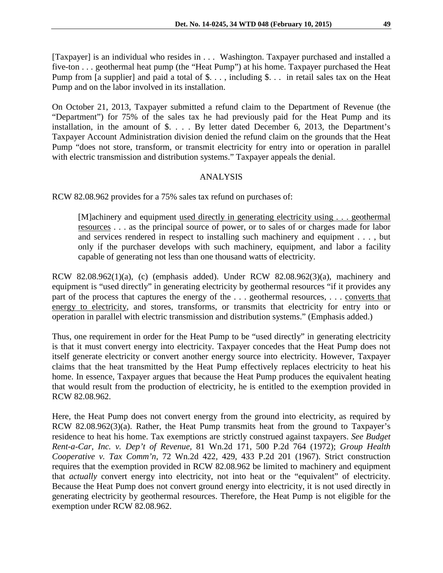[Taxpayer] is an individual who resides in . . . Washington. Taxpayer purchased and installed a five-ton . . . geothermal heat pump (the "Heat Pump") at his home. Taxpayer purchased the Heat Pump from [a supplier] and paid a total of \$..., including \$... in retail sales tax on the Heat Pump and on the labor involved in its installation.

On October 21, 2013, Taxpayer submitted a refund claim to the Department of Revenue (the "Department") for 75% of the sales tax he had previously paid for the Heat Pump and its installation, in the amount of \$. . . . By letter dated December 6, 2013, the Department's Taxpayer Account Administration division denied the refund claim on the grounds that the Heat Pump "does not store, transform, or transmit electricity for entry into or operation in parallel with electric transmission and distribution systems." Taxpayer appeals the denial.

### ANALYSIS

RCW 82.08.962 provides for a 75% sales tax refund on purchases of:

[M]achinery and equipment used directly in generating electricity using . . . geothermal resources . . . as the principal source of power, or to sales of or charges made for labor and services rendered in respect to installing such machinery and equipment . . . , but only if the purchaser develops with such machinery, equipment, and labor a facility capable of generating not less than one thousand watts of electricity.

RCW 82.08.962(1)(a), (c) (emphasis added). Under RCW 82.08.962(3)(a), machinery and equipment is "used directly" in generating electricity by geothermal resources "if it provides any part of the process that captures the energy of the ... geothermal resources, ... converts that energy to electricity, and stores, transforms, or transmits that electricity for entry into or operation in parallel with electric transmission and distribution systems." (Emphasis added.)

Thus, one requirement in order for the Heat Pump to be "used directly" in generating electricity is that it must convert energy into electricity. Taxpayer concedes that the Heat Pump does not itself generate electricity or convert another energy source into electricity. However, Taxpayer claims that the heat transmitted by the Heat Pump effectively replaces electricity to heat his home. In essence, Taxpayer argues that because the Heat Pump produces the equivalent heating that would result from the production of electricity, he is entitled to the exemption provided in RCW 82.08.962.

Here, the Heat Pump does not convert energy from the ground into electricity, as required by RCW 82.08.962(3)(a). Rather, the Heat Pump transmits heat from the ground to Taxpayer's residence to heat his home. Tax exemptions are strictly construed against taxpayers. *See Budget Rent-a-Car, Inc. v. Dep't of Revenue,* 81 Wn.2d 171, 500 P.2d 764 (1972); *Group Health Cooperative v. Tax Comm'n*, 72 Wn.2d 422, 429, 433 P.2d 201 (1967). Strict construction requires that the exemption provided in RCW 82.08.962 be limited to machinery and equipment that *actually* convert energy into electricity, not into heat or the "equivalent" of electricity. Because the Heat Pump does not convert ground energy into electricity, it is not used directly in generating electricity by geothermal resources. Therefore, the Heat Pump is not eligible for the exemption under RCW 82.08.962.